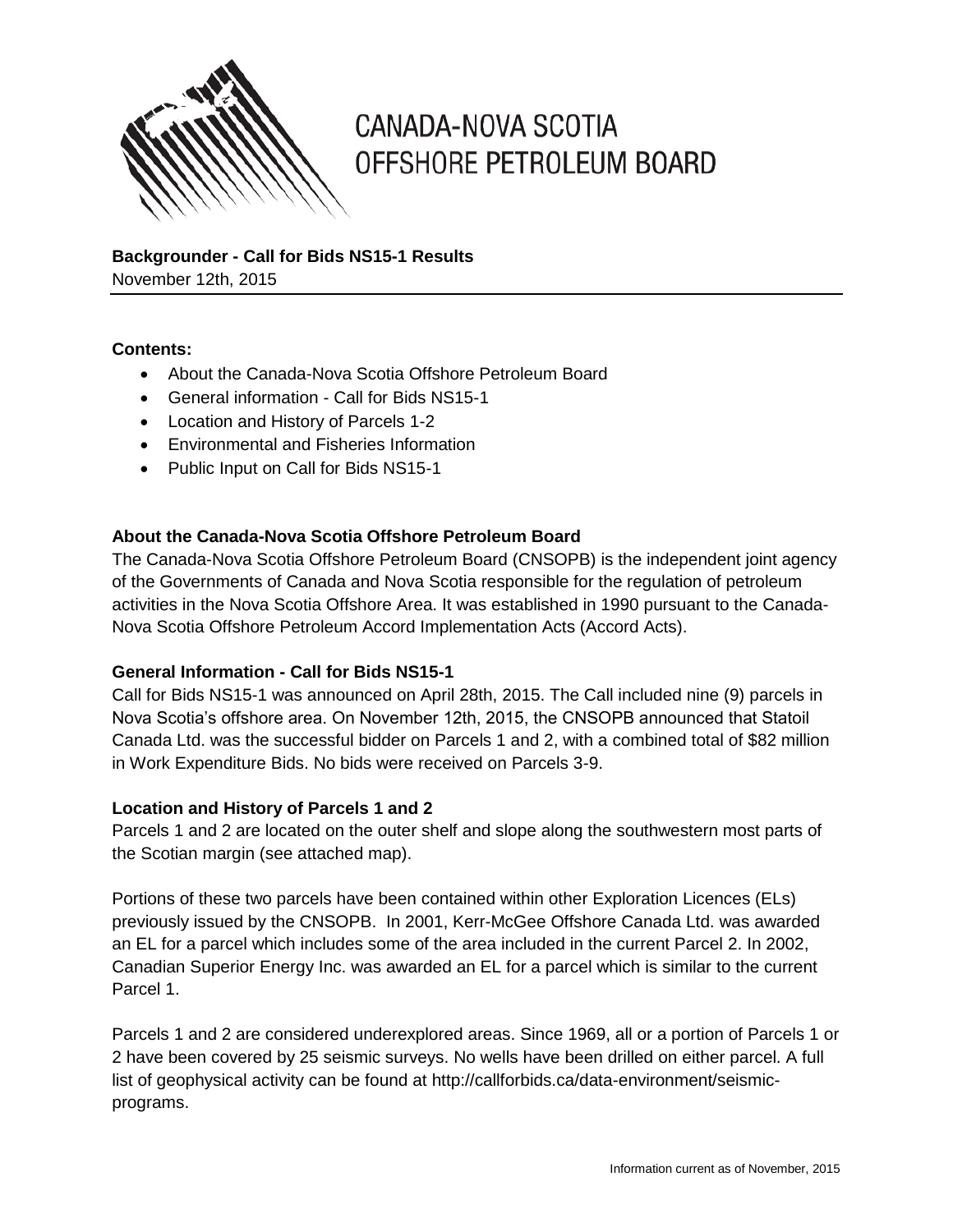

# **CANADA-NOVA SCOTIA** OFFSHORE PETROLEUM BOARD

**Backgrounder - Call for Bids NS15-1 Results** November 12th, 2015

#### **Contents:**

- About the Canada-Nova Scotia Offshore Petroleum Board
- General information Call for Bids NS15-1
- Location and History of Parcels 1-2
- Environmental and Fisheries Information
- Public Input on Call for Bids NS15-1

#### **About the Canada-Nova Scotia Offshore Petroleum Board**

The Canada-Nova Scotia Offshore Petroleum Board (CNSOPB) is the independent joint agency of the Governments of Canada and Nova Scotia responsible for the regulation of petroleum activities in the Nova Scotia Offshore Area. It was established in 1990 pursuant to the Canada-Nova Scotia Offshore Petroleum Accord Implementation Acts (Accord Acts).

#### **General Information - Call for Bids NS15-1**

Call for Bids NS15-1 was announced on April 28th, 2015. The Call included nine (9) parcels in Nova Scotia's offshore area. On November 12th, 2015, the CNSOPB announced that Statoil Canada Ltd. was the successful bidder on Parcels 1 and 2, with a combined total of \$82 million in Work Expenditure Bids. No bids were received on Parcels 3-9.

#### **Location and History of Parcels 1 and 2**

Parcels 1 and 2 are located on the outer shelf and slope along the southwestern most parts of the Scotian margin (see attached map).

Portions of these two parcels have been contained within other Exploration Licences (ELs) previously issued by the CNSOPB. In 2001, Kerr-McGee Offshore Canada Ltd. was awarded an EL for a parcel which includes some of the area included in the current Parcel 2. In 2002, Canadian Superior Energy Inc. was awarded an EL for a parcel which is similar to the current Parcel 1.

Parcels 1 and 2 are considered underexplored areas. Since 1969, all or a portion of Parcels 1 or 2 have been covered by 25 seismic surveys. No wells have been drilled on either parcel. A full list of geophysical activity can be found at http://callforbids.ca/data-environment/seismicprograms.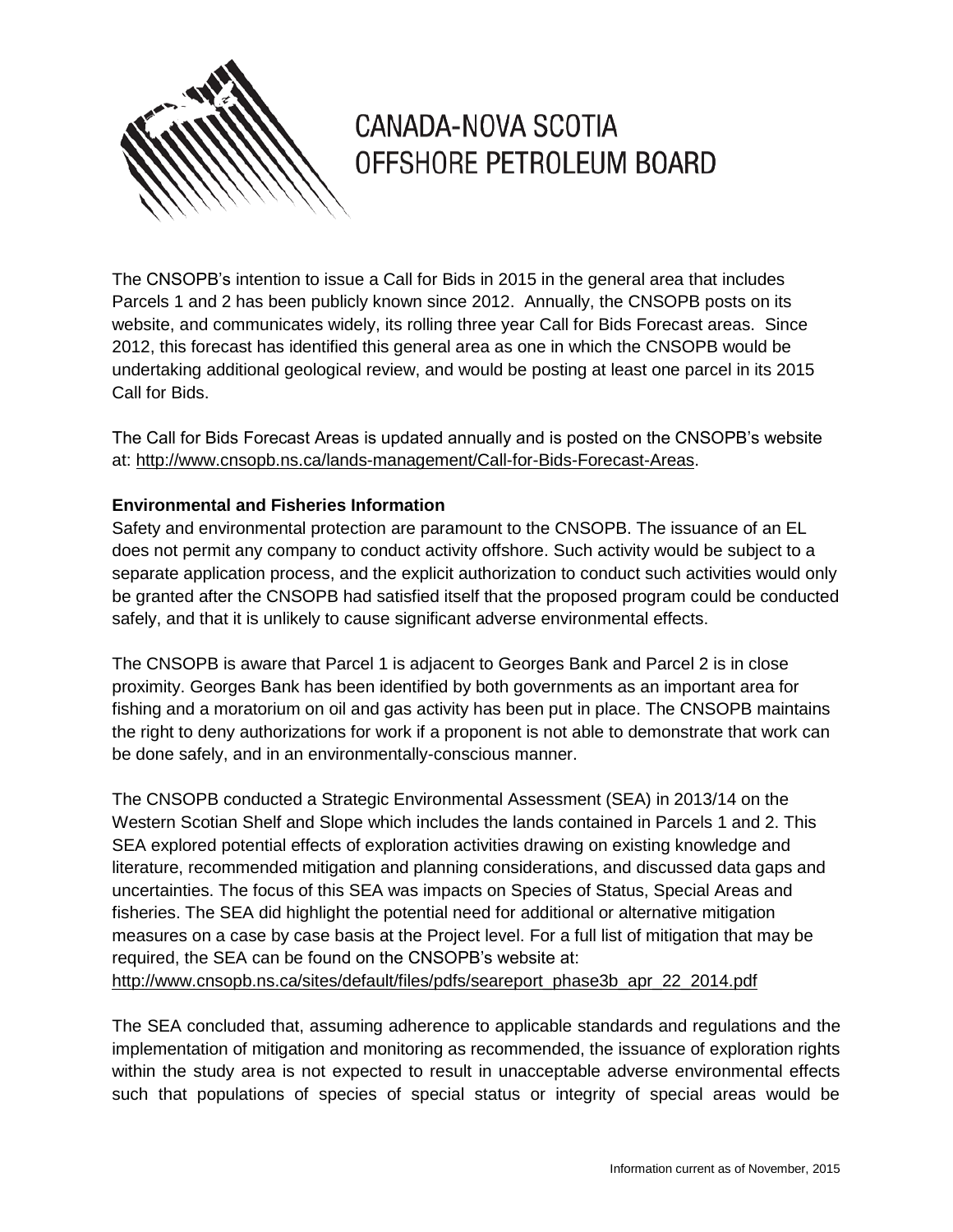

# **CANADA-NOVA SCOTIA** OFFSHORE PETROLEUM BOARD

The CNSOPB's intention to issue a Call for Bids in 2015 in the general area that includes Parcels 1 and 2 has been publicly known since 2012. Annually, the CNSOPB posts on its website, and communicates widely, its rolling three year Call for Bids Forecast areas. Since 2012, this forecast has identified this general area as one in which the CNSOPB would be undertaking additional geological review, and would be posting at least one parcel in its 2015 Call for Bids.

The Call for Bids Forecast Areas is updated annually and is posted on the CNSOPB's website at: [http://www.cnsopb.ns.ca/lands-management/Call-for-Bids-Forecast-Areas.](http://www.cnsopb.ns.ca/lands-management/Call-for-Bids-Forecast-Areas)

### **Environmental and Fisheries Information**

Safety and environmental protection are paramount to the CNSOPB. The issuance of an EL does not permit any company to conduct activity offshore. Such activity would be subject to a separate application process, and the explicit authorization to conduct such activities would only be granted after the CNSOPB had satisfied itself that the proposed program could be conducted safely, and that it is unlikely to cause significant adverse environmental effects.

The CNSOPB is aware that Parcel 1 is adjacent to Georges Bank and Parcel 2 is in close proximity. Georges Bank has been identified by both governments as an important area for fishing and a moratorium on oil and gas activity has been put in place. The CNSOPB maintains the right to deny authorizations for work if a proponent is not able to demonstrate that work can be done safely, and in an environmentally-conscious manner.

The CNSOPB conducted a Strategic Environmental Assessment (SEA) in 2013/14 on the Western Scotian Shelf and Slope which includes the lands contained in Parcels 1 and 2. This SEA explored potential effects of exploration activities drawing on existing knowledge and literature, recommended mitigation and planning considerations, and discussed data gaps and uncertainties. The focus of this SEA was impacts on Species of Status, Special Areas and fisheries. The SEA did highlight the potential need for additional or alternative mitigation measures on a case by case basis at the Project level. For a full list of mitigation that may be required, the SEA can be found on the CNSOPB's website at: [http://www.cnsopb.ns.ca/sites/default/files/pdfs/seareport\\_phase3b\\_apr\\_22\\_2014.pdf](http://www.cnsopb.ns.ca/sites/default/files/pdfs/seareport_phase3b_apr_22_2014.pdf)

The SEA concluded that, assuming adherence to applicable standards and regulations and the implementation of mitigation and monitoring as recommended, the issuance of exploration rights within the study area is not expected to result in unacceptable adverse environmental effects such that populations of species of special status or integrity of special areas would be